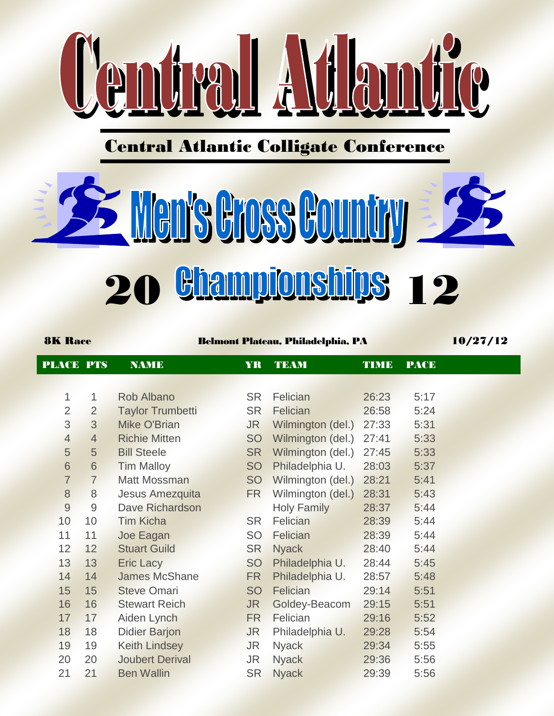

# Central Atlantic Colligate Conference

# **22 Men's Gross Country 20 Biampionships 12**

## 8K Race Belmont Plateau, Philadelphia, PA 10/27/12

| <b>PLACE PTS</b> |                | <b>NAME</b>             | YR        | <b>TEAM</b>        | <b>TIME</b> | <b>PACE</b> |
|------------------|----------------|-------------------------|-----------|--------------------|-------------|-------------|
|                  |                |                         |           |                    |             |             |
| 1                | 1              | <b>Rob Albano</b>       | <b>SR</b> | Felician           | 26:23       | 5:17        |
| $\overline{2}$   | $\overline{2}$ | <b>Taylor Trumbetti</b> | <b>SR</b> | Felician           | 26:58       | 5:24        |
| 3                | 3              | Mike O'Brian            | <b>JR</b> | Wilmington (del.)  | 27:33       | 5:31        |
| $\overline{4}$   | $\overline{4}$ | <b>Richie Mitten</b>    | <b>SO</b> | Wilmington (del.)  | 27:41       | 5:33        |
| 5                | 5              | <b>Bill Steele</b>      | <b>SR</b> | Wilmington (del.)  | 27:45       | 5:33        |
| 6                | 6              | <b>Tim Malloy</b>       | <b>SO</b> | Philadelphia U.    | 28:03       | 5:37        |
| $\overline{7}$   | $\overline{7}$ | <b>Matt Mossman</b>     | <b>SO</b> | Wilmington (del.)  | 28:21       | 5:41        |
| 8                | $\,8\,$        | <b>Jesus Amezquita</b>  | <b>FR</b> | Wilmington (del.)  | 28:31       | 5:43        |
| $\overline{9}$   | 9              | Dave Richardson         |           | <b>Holy Family</b> | 28:37       | 5:44        |
| 10               | 10             | <b>Tim Kicha</b>        | <b>SR</b> | Felician           | 28:39       | 5:44        |
| 11               | 11             | Joe Eagan               | SO        | Felician           | 28:39       | 5:44        |
| 12               | 12             | <b>Stuart Guild</b>     | <b>SR</b> | <b>Nyack</b>       | 28:40       | 5:44        |
| 13               | 13             | <b>Eric Lacy</b>        | <b>SO</b> | Philadelphia U.    | 28:44       | 5:45        |
| 14               | 14             | <b>James McShane</b>    | <b>FR</b> | Philadelphia U.    | 28:57       | 5:48        |
| 15               | 15             | <b>Steve Omari</b>      | <b>SO</b> | Felician           | 29:14       | 5:51        |
| 16               | 16             | <b>Stewart Reich</b>    | <b>JR</b> | Goldey-Beacom      | 29:15       | 5:51        |
| 17               | 17             | Aiden Lynch             | <b>FR</b> | Felician           | 29:16       | 5:52        |
| 18               | 18             | <b>Didier Barjon</b>    | <b>JR</b> | Philadelphia U.    | 29:28       | 5:54        |
| 19               | 19             | <b>Keith Lindsey</b>    | <b>JR</b> | <b>Nyack</b>       | 29:34       | 5:55        |
| 20               | 20             | <b>Joubert Derival</b>  | <b>JR</b> | <b>Nyack</b>       | 29:36       | 5:56        |
| 21               | 21             | <b>Ben Wallin</b>       | <b>SR</b> | <b>Nyack</b>       | 29:39       | 5:56        |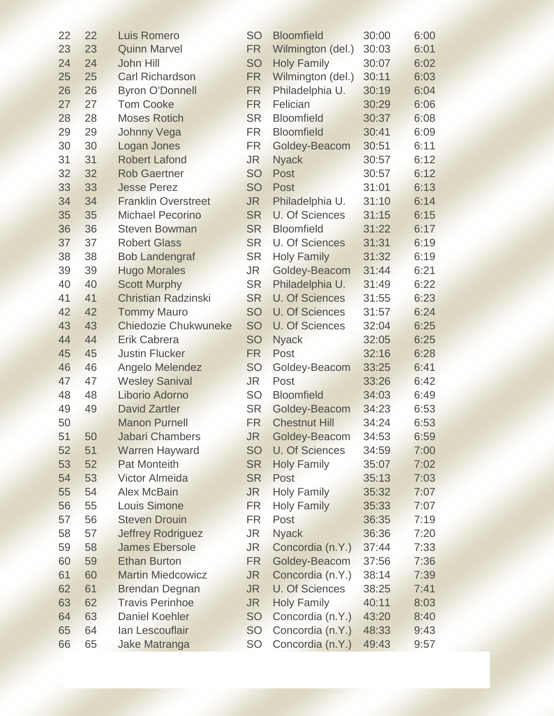| 22 | 22 | <b>Luis Romero</b>          | <b>SO</b> | <b>Bloomfield</b>     | 30:00 | 6:00 |
|----|----|-----------------------------|-----------|-----------------------|-------|------|
| 23 | 23 | <b>Quinn Marvel</b>         | <b>FR</b> | Wilmington (del.)     | 30:03 | 6:01 |
| 24 | 24 | <b>John Hill</b>            | <b>SO</b> | <b>Holy Family</b>    | 30:07 | 6:02 |
| 25 | 25 | <b>Carl Richardson</b>      | <b>FR</b> | Wilmington (del.)     | 30:11 | 6:03 |
| 26 | 26 | <b>Byron O'Donnell</b>      | <b>FR</b> | Philadelphia U.       | 30:19 | 6:04 |
| 27 | 27 | <b>Tom Cooke</b>            | <b>FR</b> | Felician              | 30:29 | 6:06 |
| 28 | 28 | <b>Moses Rotich</b>         | <b>SR</b> | <b>Bloomfield</b>     | 30:37 | 6:08 |
| 29 | 29 | Johnny Vega                 | <b>FR</b> | <b>Bloomfield</b>     | 30:41 | 6:09 |
| 30 | 30 | Logan Jones                 | <b>FR</b> | Goldey-Beacom         | 30:51 | 6:11 |
| 31 | 31 | <b>Robert Lafond</b>        | <b>JR</b> | <b>Nyack</b>          | 30:57 | 6:12 |
| 32 | 32 | <b>Rob Gaertner</b>         | <b>SO</b> | <b>Post</b>           | 30:57 | 6:12 |
| 33 | 33 | <b>Jesse Perez</b>          | <b>SO</b> | Post                  | 31:01 | 6:13 |
| 34 | 34 | <b>Franklin Overstreet</b>  | <b>JR</b> | Philadelphia U.       | 31:10 | 6:14 |
| 35 | 35 | <b>Michael Pecorino</b>     | <b>SR</b> | <b>U. Of Sciences</b> | 31:15 | 6:15 |
| 36 | 36 | <b>Steven Bowman</b>        | <b>SR</b> | <b>Bloomfield</b>     | 31:22 | 6:17 |
| 37 | 37 | <b>Robert Glass</b>         | <b>SR</b> | <b>U. Of Sciences</b> | 31:31 | 6:19 |
| 38 | 38 | <b>Bob Landengraf</b>       | <b>SR</b> | <b>Holy Family</b>    | 31:32 | 6:19 |
| 39 | 39 | <b>Hugo Morales</b>         | <b>JR</b> | Goldey-Beacom         | 31:44 | 6:21 |
| 40 | 40 | <b>Scott Murphy</b>         | <b>SR</b> | Philadelphia U.       | 31:49 | 6:22 |
| 41 | 41 | <b>Christian Radzinski</b>  | <b>SR</b> | <b>U. Of Sciences</b> | 31:55 | 6:23 |
| 42 | 42 | <b>Tommy Mauro</b>          | <b>SO</b> | <b>U. Of Sciences</b> | 31:57 | 6:24 |
| 43 | 43 | <b>Chiedozie Chukwuneke</b> | <b>SO</b> | <b>U. Of Sciences</b> | 32:04 | 6:25 |
| 44 | 44 | <b>Erik Cabrera</b>         | <b>SO</b> | <b>Nyack</b>          | 32:05 | 6:25 |
| 45 | 45 | <b>Justin Flucker</b>       | <b>FR</b> | Post                  | 32:16 | 6:28 |
| 46 | 46 | Angelo Melendez             | <b>SO</b> | Goldey-Beacom         | 33:25 | 6:41 |
| 47 | 47 | <b>Wesley Sanival</b>       | <b>JR</b> | Post                  | 33:26 | 6:42 |
| 48 | 48 | Liborio Adorno              | <b>SO</b> | <b>Bloomfield</b>     | 34:03 | 6:49 |
| 49 | 49 | <b>David Zartler</b>        | <b>SR</b> | Goldey-Beacom         | 34:23 | 6:53 |
| 50 |    | <b>Manon Purnell</b>        | <b>FR</b> | <b>Chestnut Hill</b>  | 34:24 | 6:53 |
| 51 | 50 | <b>Jabari Chambers</b>      |           | JR Goldey-Beacom      | 34:53 | 6:59 |
| 52 | 51 | <b>Warren Hayward</b>       | <b>SO</b> | <b>U. Of Sciences</b> | 34:59 | 7:00 |
| 53 | 52 | <b>Pat Monteith</b>         | <b>SR</b> | <b>Holy Family</b>    | 35:07 | 7:02 |
| 54 | 53 | <b>Victor Almeida</b>       | <b>SR</b> | Post                  | 35:13 | 7:03 |
| 55 | 54 | <b>Alex McBain</b>          | <b>JR</b> | <b>Holy Family</b>    | 35:32 | 7:07 |
| 56 | 55 | <b>Louis Simone</b>         | <b>FR</b> | <b>Holy Family</b>    | 35:33 | 7:07 |
| 57 | 56 | <b>Steven Drouin</b>        | <b>FR</b> | Post                  | 36:35 | 7:19 |
| 58 | 57 | <b>Jeffrey Rodriguez</b>    | JR        | <b>Nyack</b>          | 36:36 | 7:20 |
| 59 | 58 | <b>James Ebersole</b>       | JR.       | Concordia (n.Y.)      | 37:44 | 7:33 |
| 60 | 59 | <b>Ethan Burton</b>         | <b>FR</b> | Goldey-Beacom         | 37:56 | 7:36 |
| 61 | 60 | <b>Martin Miedcowicz</b>    | <b>JR</b> | Concordia (n.Y.)      | 38:14 | 7:39 |
| 62 | 61 | <b>Brendan Degnan</b>       | <b>JR</b> | <b>U. Of Sciences</b> | 38:25 | 7:41 |
| 63 | 62 | <b>Travis Perinhoe</b>      | <b>JR</b> | <b>Holy Family</b>    | 40:11 | 8:03 |
| 64 | 63 | <b>Daniel Koehler</b>       | SO        | Concordia (n.Y.)      | 43:20 | 8:40 |
| 65 | 64 | lan Lescouflair             | <b>SO</b> | Concordia (n.Y.)      | 48:33 | 9:43 |
| 66 | 65 | <b>Jake Matranga</b>        | <b>SO</b> | Concordia (n.Y.)      | 49:43 | 9:57 |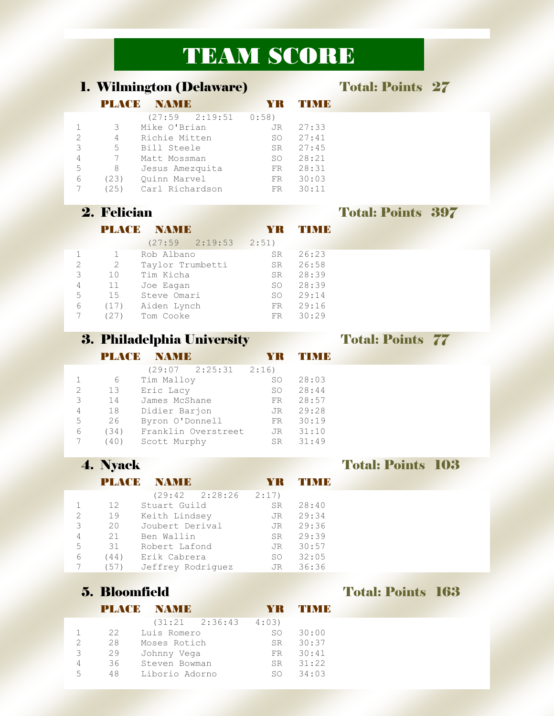# TEAM SCORE

1. Wilmington (Delaware) Total: Points 27

## (27:59 2:19:51 0:58) 1 3 Mike O'Brian JR 27:33 2 4 Richie Mitten SO 27:41 3 5 Bill Steele SR 27:45 4 7 Matt Mossman SO 28:21 5 8 Jesus Amezquita FR 28:31 6 (23) Quinn Marvel FR 30:03 7 (25) Carl Richardson FR 30:11

|               | PLATE | <b>NAMIE</b>                       |           |       |
|---------------|-------|------------------------------------|-----------|-------|
|               |       | $(27:59 \quad 2:19:53 \quad 2:51)$ |           |       |
|               |       | Rob Albano                         | <b>SR</b> | 26:23 |
| $\mathcal{P}$ | 2     | Taylor Trumbetti                   | SR.       | 26:58 |
| 3             | 10    | Tim Kicha                          | <b>SR</b> | 28:39 |
| 4             | 11    | Joe Eagan                          | SO.       | 28:39 |
| 5             | 15    | Steve Omari                        | SO.       | 29:14 |
| 6             | (17)  | Aiden Lynch                        | FR        | 29:16 |
|               |       | Tom Cooke                          | FR        | 30:29 |

# **3. Philadelphia University Total: Points 77**

## PLACE NAME YR TIME

|               |      | (29:07 2:25:31)     | 2:16 |       |
|---------------|------|---------------------|------|-------|
|               | 6    | Tim Malloy          | SO.  | 28:03 |
| $\mathcal{L}$ | 13   | Eric Lacy           | SO.  | 28:44 |
| 3             | 14   | James McShane       | FR   | 28:57 |
| 4             | 18   | Didier Barjon       | JR   | 29:28 |
| 5             | 26   | Byron O'Donnell     | FR.  | 30:19 |
| 6             | (34) | Franklin Overstreet | JR.  | 31:10 |
|               | (40) | Scott Murphy        | SR.  | 31:49 |

## **4. Nyack Total: Points 103** PLACE NAME YR TIME (29:42 2:28:26 2:17) 1 12 Stuart Guild SR 28:40<br>2 19 Keith Lindsey JR 29:34 2 19 Keith Lindsey JR 29:34 3 20 Joubert Derival JR 29:36 4 21 Ben Wallin SR 29:39 5 31 Robert Lafond JR 30:57 6 (44) Erik Cabrera SO 32:05 7 (57) Jeffrey Rodriguez JR 36:36

## PLACE NAME YR TIME (31:21 2:36:43 4:03) 1 22 Luis Romero SO 30:00 2 28 Moses Rotich SR 30:37 3 29 Johnny Vega FR 30:41 4 36 Steven Bowman SR 31:22 5 48 Liborio Adorno SO 34:03

# 5. Bloomfield Total: Points 163

2. Felician Total: Points 397

| <b>ТЕМИ В</b> |
|---------------|
|               |
| 27:33         |
| 27:41         |
| 27:45         |
| 28:21         |
| 28:31         |
|               |